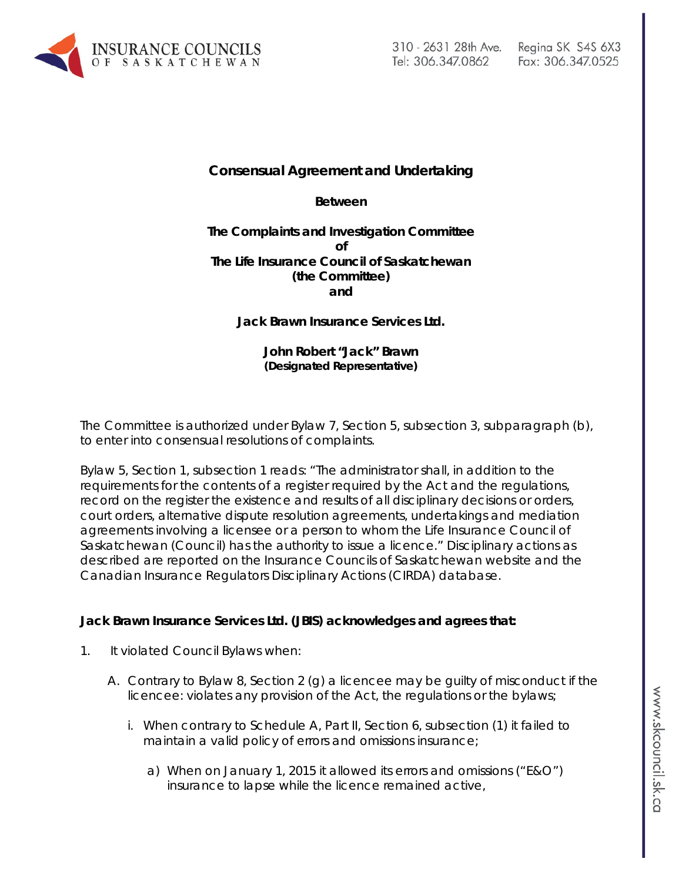

# **Consensual Agreement and Undertaking**

**Between**

**The Complaints and Investigation Committee of The Life Insurance Council of Saskatchewan (the Committee) and**

**Jack Brawn Insurance Services Ltd.**

**John Robert "Jack" Brawn (Designated Representative)**

The Committee is authorized under Bylaw 7, Section 5, subsection 3, subparagraph (b), to enter into consensual resolutions of complaints.

Bylaw 5, Section 1, subsection 1 reads: "The administrator shall, in addition to the requirements for the contents of a register required by the Act and the regulations, record on the register the existence and results of all disciplinary decisions or orders, court orders, alternative dispute resolution agreements, undertakings and mediation agreements involving a licensee or a person to whom the Life Insurance Council of Saskatchewan (Council) has the authority to issue a licence." Disciplinary actions as described are reported on the Insurance Councils of Saskatchewan website and the Canadian Insurance Regulators Disciplinary Actions (CIRDA) database.

#### **Jack Brawn Insurance Services Ltd. (JBIS) acknowledges and agrees that:**

- 1. It violated Council Bylaws when:
	- A. Contrary to Bylaw 8, Section 2 (g) a licencee may be guilty of misconduct if the licencee: violates any provision of the Act, the regulations or the bylaws;
		- i. When contrary to Schedule A, Part II, Section 6, subsection (1) it failed to maintain a valid policy of errors and omissions insurance;
			- a) When on January 1, 2015 it allowed its errors and omissions ("E&O") insurance to lapse while the licence remained active,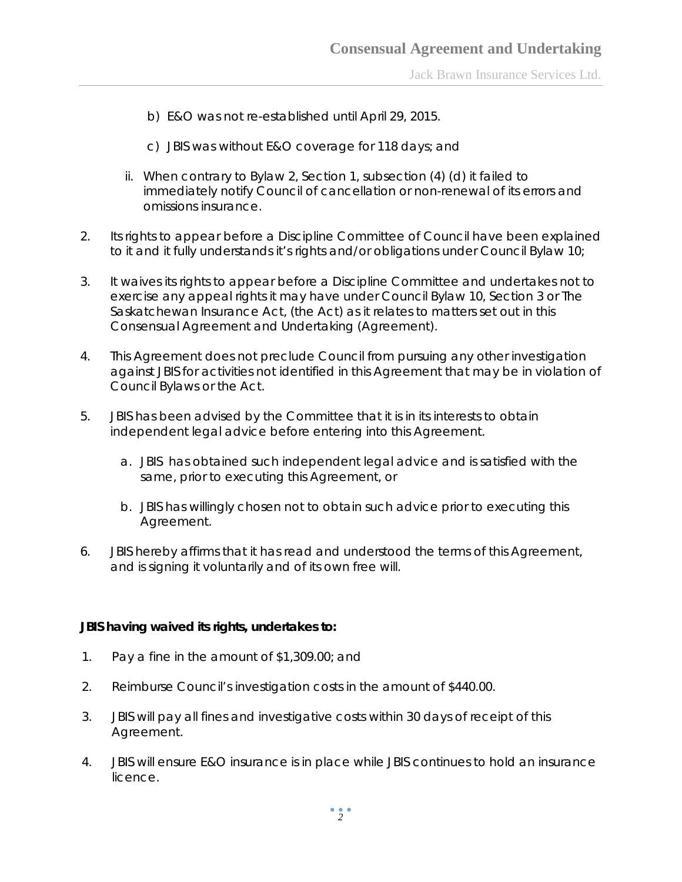Jack Brawn Insurance Services Ltd.

- b) E&O was not re-established until April 29, 2015.
- c) JBIS was without E&O coverage for 118 days; and
- ii. When contrary to Bylaw 2, Section 1, subsection (4) (d) it failed to immediately notify Council of cancellation or non-renewal of its errors and omissions insurance.
- 2. Its rights to appear before a Discipline Committee of Council have been explained to it and it fully understands it's rights and/or obligations under Council Bylaw 10;
- 3. It waives its rights to appear before a Discipline Committee and undertakes not to exercise any appeal rights it may have under Council Bylaw 10, Section 3 or *The Saskatchewan Insurance Act,* (the Act) as it relates to matters set out in this Consensual Agreement and Undertaking (Agreement).
- 4. This Agreement does not preclude Council from pursuing any other investigation against JBIS for activities not identified in this Agreement that may be in violation of Council Bylaws or the Act.
- 5. JBIS has been advised by the Committee that it is in its interests to obtain independent legal advice before entering into this Agreement.
	- a. JBIS has obtained such independent legal advice and is satisfied with the same, prior to executing this Agreement, or
	- b. JBIS has willingly chosen not to obtain such advice prior to executing this Agreement.
- 6. JBIS hereby affirms that it has read and understood the terms of this Agreement, and is signing it voluntarily and of its own free will.

#### **JBIS having waived its rights, undertakes to:**

- 1. Pay a fine in the amount of \$1,309.00; and
- 2. Reimburse Council's investigation costs in the amount of \$440.00.
- 3. JBIS will pay all fines and investigative costs within 30 days of receipt of this Agreement.
- 4. JBIS will ensure E&O insurance is in place while JBIS continues to hold an insurance licence.